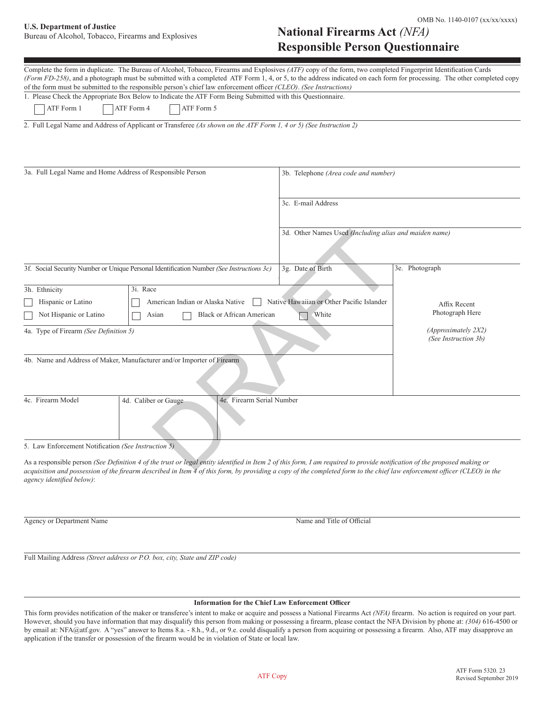# OMB No. 1140-0107 (xx/xx/xxxx)<br> **U.S. Department of Justice Example 1 Distance 1 Distance 1 Distance 1 Distance 1**

## U.S. Department of Justice<br>Bureau of Alcohol, Tobacco, Firearms and Explosives **National Firearms Act** *(NFA)* **Responsible Person Questionnaire**

| Complete the form in duplicate. The Bureau of Alcohol, Tobacco, Firearms and Explosives (ATF) copy of the form, two completed Fingerprint Identification Cards<br>(Form FD-258), and a photograph must be submitted with a completed ATF Form 1, 4, or 5, to the address indicated on each form for processing. The other completed copy |                                                        |                 |  |  |
|------------------------------------------------------------------------------------------------------------------------------------------------------------------------------------------------------------------------------------------------------------------------------------------------------------------------------------------|--------------------------------------------------------|-----------------|--|--|
| of the form must be submitted to the responsible person's chief law enforcement officer (CLEO). (See Instructions)                                                                                                                                                                                                                       |                                                        |                 |  |  |
| 1. Please Check the Appropriate Box Below to Indicate the ATF Form Being Submitted with this Questionnaire.                                                                                                                                                                                                                              |                                                        |                 |  |  |
| ATF Form 1<br>ATF Form 4<br>ATF Form 5                                                                                                                                                                                                                                                                                                   |                                                        |                 |  |  |
| 2. Full Legal Name and Address of Applicant or Transferee (As shown on the ATF Form 1, 4 or 5) (See Instruction 2)                                                                                                                                                                                                                       |                                                        |                 |  |  |
| 3a. Full Legal Name and Home Address of Responsible Person                                                                                                                                                                                                                                                                               | 3b. Telephone (Area code and number)                   |                 |  |  |
|                                                                                                                                                                                                                                                                                                                                          | 3c. E-mail Address                                     |                 |  |  |
|                                                                                                                                                                                                                                                                                                                                          | 3d. Other Names Used (Including alias and maiden name) |                 |  |  |
| 3f. Social Security Number or Unique Personal Identification Number (See Instructions 3c)                                                                                                                                                                                                                                                | 3g. Date of Birth                                      | 3e. Photograph  |  |  |
| 3i. Race<br>3h. Ethnicity                                                                                                                                                                                                                                                                                                                |                                                        |                 |  |  |
| Hispanic or Latino<br>American Indian or Alaska Native                                                                                                                                                                                                                                                                                   | Native Hawaiian or Other Pacific Islander              | Affix Recent    |  |  |
| Not Hispanic or Latino<br><b>Black or African American</b><br>Asian                                                                                                                                                                                                                                                                      | White                                                  | Photograph Here |  |  |
| 4a. Type of Firearm (See Definition 5)                                                                                                                                                                                                                                                                                                   | (Approximately 2X2)<br>(See Instruction 3b)            |                 |  |  |
| 4b. Name and Address of Maker, Manufacturer and/or Importer of Firearm                                                                                                                                                                                                                                                                   |                                                        |                 |  |  |
| 4c. Firearm Model<br>4e. Firearm Serial Number<br>4d. Caliber or Gauge                                                                                                                                                                                                                                                                   |                                                        |                 |  |  |
| 5. Law Enforcement Notification (See Instruction 5)                                                                                                                                                                                                                                                                                      |                                                        |                 |  |  |
| As a responsible person (See Definition 4 of the trust or legal entity identified in Item 2 of this form, I am required to provide notification of the proposed making or                                                                                                                                                                |                                                        |                 |  |  |

*acquisition and possession of the firearm described in Item 4 of this form, by providing a copy of the completed form to the chief law enforcement officer (CLEO) in the agency identified below)*:

Agency or Department Name  $\blacksquare$ 

Full Mailing Address *(Street address or P.O. box, city, State and ZIP code)*

#### **Information for the Chief Law Enforcement Officer**

This form provides notification of the maker or transferee's intent to make or acquire and possess a National Firearms Act *(NFA)* firearm. No action is required on your part. However, should you have information that may disqualify this person from making or possessing a firearm, please contact the NFA Division by phone at: *(304)* 616-4500 or by email at: NFA@atf.gov. A "yes" answer to Items 8.a. - 8.h., 9.d., or 9.e. could disqualify a person from acquiring or possessing a firearm. Also, ATF may disapprove an application if the transfer or possession of the firearm would be in violation of State or local law.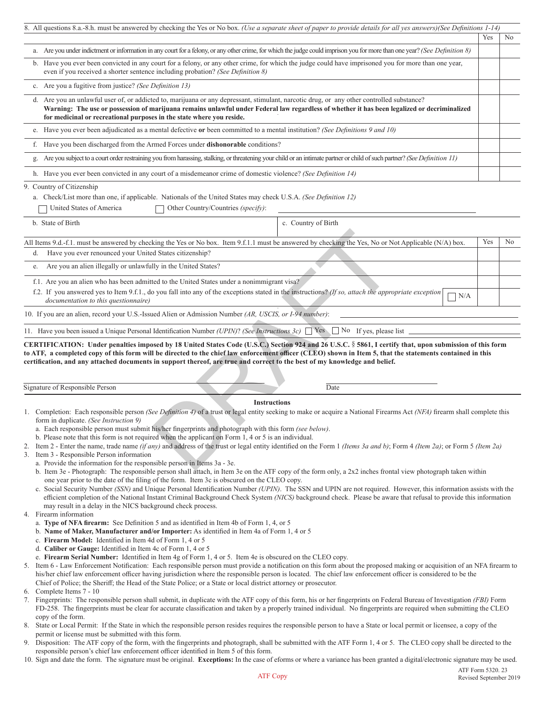|    | 8. All questions 8.a.-8.h. must be answered by checking the Yes or No box. (Use a separate sheet of paper to provide details for all yes answers) (See Definitions 1-14)                                                                                                                                                                                                                                                                                                                                                                                                                                                                                                                                                                                                                               |     |                |
|----|--------------------------------------------------------------------------------------------------------------------------------------------------------------------------------------------------------------------------------------------------------------------------------------------------------------------------------------------------------------------------------------------------------------------------------------------------------------------------------------------------------------------------------------------------------------------------------------------------------------------------------------------------------------------------------------------------------------------------------------------------------------------------------------------------------|-----|----------------|
|    |                                                                                                                                                                                                                                                                                                                                                                                                                                                                                                                                                                                                                                                                                                                                                                                                        | Yes | No             |
|    | a. Are you under indictment or information in any court for a felony, or any other crime, for which the judge could imprison you for more than one year? (See Definition 8)                                                                                                                                                                                                                                                                                                                                                                                                                                                                                                                                                                                                                            |     |                |
|    | b. Have you ever been convicted in any court for a felony, or any other crime, for which the judge could have imprisoned you for more than one year,<br>even if you received a shorter sentence including probation? (See Definition 8)                                                                                                                                                                                                                                                                                                                                                                                                                                                                                                                                                                |     |                |
|    | c. Are you a fugitive from justice? (See Definition 13)                                                                                                                                                                                                                                                                                                                                                                                                                                                                                                                                                                                                                                                                                                                                                |     |                |
|    | d. Are you an unlawful user of, or addicted to, marijuana or any depressant, stimulant, narcotic drug, or any other controlled substance?<br>Warning: The use or possession of marijuana remains unlawful under Federal law regardless of whether it has been legalized or decriminalized<br>for medicinal or recreational purposes in the state where you reside.                                                                                                                                                                                                                                                                                                                                                                                                                                     |     |                |
|    | e. Have you ever been adjudicated as a mental defective or been committed to a mental institution? (See Definitions 9 and 10)                                                                                                                                                                                                                                                                                                                                                                                                                                                                                                                                                                                                                                                                          |     |                |
|    | f. Have you been discharged from the Armed Forces under <b>dishonorable</b> conditions?                                                                                                                                                                                                                                                                                                                                                                                                                                                                                                                                                                                                                                                                                                                |     |                |
|    | g. Are you subject to a court order restraining you from harassing, stalking, or threatening your child or an intimate partner or child of such partner? (See Definition 11)                                                                                                                                                                                                                                                                                                                                                                                                                                                                                                                                                                                                                           |     |                |
|    | h. Have you ever been convicted in any court of a misdemeanor crime of domestic violence? (See Definition 14)                                                                                                                                                                                                                                                                                                                                                                                                                                                                                                                                                                                                                                                                                          |     |                |
|    | 9. Country of Citizenship<br>a. Check/List more than one, if applicable. Nationals of the United States may check U.S.A. (See Definition 12)<br>United States of America<br>Other Country/Countries (specify):                                                                                                                                                                                                                                                                                                                                                                                                                                                                                                                                                                                         |     |                |
|    | c. Country of Birth<br>b. State of Birth                                                                                                                                                                                                                                                                                                                                                                                                                                                                                                                                                                                                                                                                                                                                                               |     |                |
|    | All Items 9.d.-f.1. must be answered by checking the Yes or No box. Item 9.f.1.1 must be answered by checking the Yes, No or Not Applicable (N/A) box.                                                                                                                                                                                                                                                                                                                                                                                                                                                                                                                                                                                                                                                 | Yes | N <sub>o</sub> |
| d. | Have you ever renounced your United States citizenship?                                                                                                                                                                                                                                                                                                                                                                                                                                                                                                                                                                                                                                                                                                                                                |     |                |
| e. | Are you an alien illegally or unlawfully in the United States?                                                                                                                                                                                                                                                                                                                                                                                                                                                                                                                                                                                                                                                                                                                                         |     |                |
|    | f.1. Are you an alien who has been admitted to the United States under a nonimmigrant visa?<br>f.2. If you answered yes to Item 9.f.1., do you fall into any of the exceptions stated in the instructions? (If so, attach the appropriate exception<br>N/A<br>documentation to this questionnaire)                                                                                                                                                                                                                                                                                                                                                                                                                                                                                                     |     |                |
|    | 10. If you are an alien, record your U.S.-Issued Alien or Admission Number (AR, USCIS, or I-94 number):                                                                                                                                                                                                                                                                                                                                                                                                                                                                                                                                                                                                                                                                                                |     |                |
|    | 11. Have you been issued a Unique Personal Identification Number (UPIN)? (See Instructions 3c) $\Box$ Yes $\Box$ No If yes, please list                                                                                                                                                                                                                                                                                                                                                                                                                                                                                                                                                                                                                                                                |     |                |
|    | CERTIFICATION: Under penalties imposed by 18 United States Code (U.S.C.) Section 924 and 26 U.S.C. § 5861, I certify that, upon submission of this form<br>to ATF, a completed copy of this form will be directed to the chief law enforcement officer (CLEO) shown in Item 5, that the statements contained in this<br>certification, and any attached documents in support thereof, are true and correct to the best of my knowledge and belief.                                                                                                                                                                                                                                                                                                                                                     |     |                |
|    | Signature of Responsible Person<br>Date                                                                                                                                                                                                                                                                                                                                                                                                                                                                                                                                                                                                                                                                                                                                                                |     |                |
|    | <b>Instructions</b><br>1. Completion: Each responsible person (See Definition 4) of a trust or legal entity seeking to make or acquire a National Firearms Act (NFA) firearm shall complete this<br>form in duplicate. (See Instruction 9)<br>a. Each responsible person must submit his/her fingerprints and photograph with this form (see below).<br>b. Please note that this form is not required when the applicant on Form $1, 4$ or $5$ is an individual.<br>2. Item 2 - Enter the name, trade name (if any) and address of the trust or legal entity identified on the Form 1 (Items 3a and b); Form 4 (Item 2a); or Form 5 (Item 2a)<br>3. Item 3 - Responsible Person information<br>a. Provide the information for the responsible person in Items 3a - 3e.<br>$\sim$ 1.11 $\sim$<br>1.7777 |     |                |

| Signature of<br>Person<br>Responsible F |  |  |
|-----------------------------------------|--|--|

#### **Instructions**

- 1. Completion: Each responsible person *(See Definition 4)* of a trust or legal entity seeking to make or acquire a National Firearms Act *(NFA)* firearm shall complete this form in duplicate. *(See Instruction 9)*
	- a. Each responsible person must submit his/her fingerprints and photograph with this form *(see below)*.
- b. Please note that this form is not required when the applicant on Form 1, 4 or 5 is an individual.
- 2. Item 2 Enter the name, trade name *(if any)* and address of the trust or legal entity identified on the Form 1 *(Items 3a and b)*; Form 4 *(Item 2a)*; or Form 5 *(Item 2a)*
- 3. Item 3 Responsible Person information
- a. Provide the information for the responsible person in Items 3a 3e.
	- b. Item 3e Photograph: The responsible person shall attach, in Item 3e on the ATF copy of the form only, a 2x2 inches frontal view photograph taken within one year prior to the date of the filing of the form. Item 3c is obscured on the CLEO copy.
	- c. Social Security Number *(SSN)* and Unique Personal Identification Number *(UPIN)*. The SSN and UPIN are not required. However, this information assists with the efficient completion of the National Instant Criminal Background Check System *(NICS)* background check. Please be aware that refusal to provide this information may result in a delay in the NICS background check process.
- 4. Firearm information
	- a. **Type of NFA firearm:** See Definition 5 and as identified in Item 4b of Form 1, 4, or 5
	- b. **Name of Maker, Manufacturer and/or Importer:** As identified in Item 4a of Form 1, 4 or 5
	- c. **Firearm Model:** Identified in Item 4d of Form 1, 4 or 5
	- d. **Caliber or Gauge:** Identified in Item 4c of Form 1, 4 or 5
	- e. **Firearm Serial Number:** Identified in Item 4g of Form 1, 4 or 5. Item 4e is obscured on the CLEO copy.
- 5. Item 6 Law Enforcement Notification: Each responsible person must provide a notification on this form about the proposed making or acquisition of an NFA firearm to his/her chief law enforcement officer having jurisdiction where the responsible person is located. The chief law enforcement officer is considered to be the Chief of Police; the Sheriff; the Head of the State Police; or a State or local district attorney or prosecutor.
- 6. Complete Items 7 10
- 7. Fingerprints: The responsible person shall submit, in duplicate with the ATF copy of this form, his or her fingerprints on Federal Bureau of Investigation *(FBI)* Form FD-258. The fingerprints must be clear for accurate classification and taken by a properly trained individual. No fingerprints are required when submitting the CLEO copy of the form.
- State or Local Permit: If the State in which the responsible person resides requires the responsible person to have a State or local permit or licensee, a copy of the permit or license must be submitted with this form.
- 9. Disposition: The ATF copy of the form, with the fingerprints and photograph, shall be submitted with the ATF Form 1, 4 or 5. The CLEO copy shall be directed to the responsible person's chief law enforcement officer identified in Item 5 of this form.
- 10. Sign and date the form. The signature must be original. **Exceptions:** In the case of eforms or where a variance has been granted a digital/electronic signature may be used.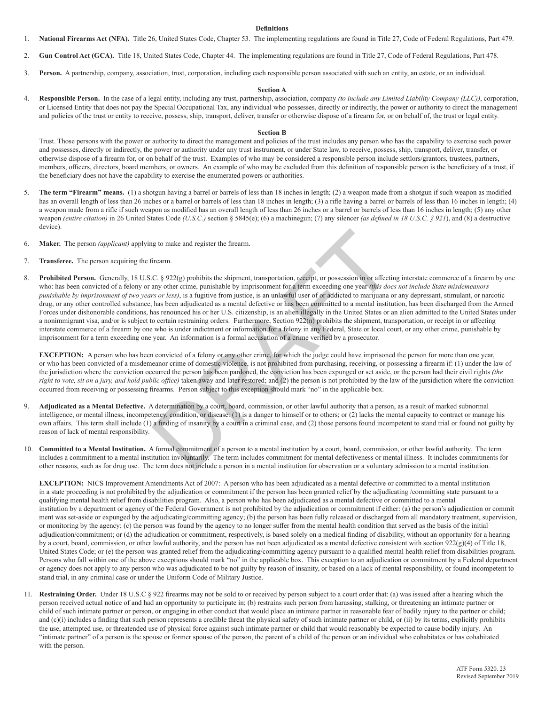#### **Definitions**

- 1. **National Firearms Act (NFA).** Title 26, United States Code, Chapter 53. The implementing regulations are found in Title 27, Code of Federal Regulations, Part 479.
- 2. **Gun Control Act (GCA).** Title 18, United States Code, Chapter 44. The implementing regulations are found in Title 27, Code of Federal Regulations, Part 478.
- 3. **Person.** A partnership, company, association, trust, corporation, including each responsible person associated with such an entity, an estate, or an individual.

#### **Section A**

4. **Responsible Person.** In the case of a legal entity, including any trust, partnership, association, company *(to include any Limited Liability Company (LLC))*, corporation, or Licensed Entity that does not pay the Special Occupational Tax, any individual who possesses, directly or indirectly, the power or authority to direct the management and policies of the trust or entity to receive, possess, ship, transport, deliver, transfer or otherwise dispose of a firearm for, or on behalf of, the trust or legal entity.

### **Section B**

 Trust. Those persons with the power or authority to direct the management and policies of the trust includes any person who has the capability to exercise such power and possesses, directly or indirectly, the power or authority under any trust instrument, or under State law, to receive, possess, ship, transport, deliver, transfer, or otherwise dispose of a firearm for, or on behalf of the trust. Examples of who may be considered a responsible person include settlors/grantors, trustees, partners, members, officers, directors, board members, or owners. An example of who may be excluded from this definition of responsible person is the beneficiary of a trust, if the beneficiary does not have the capability to exercise the enumerated powers or authorities.

- 5. **The term "Firearm" means.** (1) a shotgun having a barrel or barrels of less than 18 inches in length; (2) a weapon made from a shotgun if such weapon as modified has an overall length of less than 26 inches or a barrel or barrels of less than 18 inches in length; (3) a rifle having a barrel or barrels of less than 16 inches in length; (4) a weapon made from a rifle if such weapon as modified has an overall length of less than 26 inches or a barrel or barrels of less than 16 inches in length; (5) any other weapon *(entire citation)* in 26 United States Code *(U.S.C.)* section § 5845(e); (6) a machinegun; (7) any silencer *(as defined in 18 U.S.C. § 921*), and (8) a destructive device).
- 6. **Maker.** The person *(applicant)* applying to make and register the firearm.
- 7. **Transferee.** The person acquiring the firearm.
- 8. **Prohibited Person.** Generally, 18 U.S.C. § 922(g) prohibits the shipment, transportation, receipt, or possession in or affecting interstate commerce of a firearm by one who: has been convicted of a felony or any other crime, punishable by imprisonment for a term exceeding one year *(this does not include State misdemeanors*)  *punishable by imprisonment of two years or less)*, is a fugitive from justice, is an unlawful user of or addicted to marijuana or any depressant, stimulant, or narcotic drug, or any other controlled substance, has been adjudicated as a mental defective or has been committed to a mental institution, has been discharged from the Armed Forces under dishonorable conditions, has renounced his or her U.S. citizenship, is an alien illegally in the United States or an alien admitted to the United States under a nonimmigrant visa, and/or is subject to certain restraining orders. Furthermore, Section 922(n) prohibits the shipment, transportation, or receipt in or affecting interstate commerce of a firearm by one who is under indictment or information for a felony in any Federal, State or local court, or any other crime, punishable by imprisonment for a term exceeding one year. An information is a formal accusation of a crime verified by a prosecutor. ireamn.<br>
C. § 922(g) prohibits the shipment, transportation, receipt, or possession in or affection<br>
C. § 922(g) prohibits the shipment, transportation, receipt, or possession in or affection<br>
ers or less), is a fugitive

**EXCEPTION:** A person who has been convicted of a felony or any other crime, for which the judge could have imprisoned the person for more than one year, or who has been convicted of a misdemeanor crime of domestic violence, is not prohibited from purchasing, receiving, or possessing a firearm if: (1) under the law of the jurisdiction where the conviction occurred the person has been pardoned, the conviction has been expunged or set aside, or the person had their civil rights *(the right to vote, sit on a jury, and hold public office)* taken away and later restored; and (2) the person is not prohibited by the law of the jursidiction where the conviction occurred from receiving or possessing firearms. Person subject to this exception should mark "no" in the applicable box.

- 9. **Adjudicated as a Mental Defective.** A determination by a court, board, commission, or other lawful authority that a person, as a result of marked subnormal intelligence, or mental illness, incompetency, condition, or disease: (1) is a danger to himself or to others; or (2) lacks the mental capacity to contract or manage his own affairs. This term shall include (1) a finding of insanity by a court in a criminal case, and (2) those persons found incompetent to stand trial or found not guilty by reason of lack of mental responsibility.
- 10. **Committed to a Mental Institution.** A formal commitment of a person to a mental institution by a court, board, commission, or other lawful authority. The term includes a commitment to a mental institution involuntarily. The term includes commitment for mental defectiveness or mental illness. It includes commitments for other reasons, such as for drug use. The term does not include a person in a mental institution for observation or a voluntary admission to a mental institution.

**EXCEPTION:** NICS Improvement Amendments Act of 2007: A person who has been adjudicated as a mental defective or committed to a mental institution in a state proceeding is not prohibited by the adjudication or commitment if the person has been granted relief by the adjudicating /committing state pursuant to a qualifying mental health relief from disabilities program. Also, a person who has been adjudicated as a mental defective or committed to a mental institution by a department or agency of the Federal Government is not prohibited by the adjudication or commitment if either: (a) the person's adjudication or commit ment was set-aside or expunged by the adjudicating/committing agency; (b) the person has been fully released or discharged from all mandatory treatment, supervision, or monitoring by the agency; (c) the person was found by the agency to no longer suffer from the mental health condition that served as the basis of the initial adjudication/commitment; or (d) the adjudication or commitment, respectively, is based solely on a medical finding of disability, without an opportunity for a hearing by a court, board, commission, or other lawful authority, and the person has not been adjudicated as a mental defective consistent with section 922(g)(4) of Title 18, United States Code; or (e) the person was granted relief from the adjudicating/committing agency pursuant to a qualified mental health relief from disabilities program. Persons who fall within one of the above exceptions should mark "no" in the applicable box. This exception to an adjudication or commitment by a Federal department or agency does not apply to any person who was adjudicated to be not guilty by reason of insanity, or based on a lack of mental responsibility, or found incompetent to stand trial, in any criminal case or under the Uniform Code of Military Justice.

11. **Restraining Order.** Under 18 U.S.C § 922 firearms may not be sold to or received by person subject to a court order that: (a) was issued after a hearing which the person received actual notice of and had an opportunity to participate in; (b) restrains such person from harassing, stalking, or threatening an intimate partner or child of such intimate partner or person, or engaging in other conduct that would place an intimate partner in reasonable fear of bodily injury to the partner or child; and  $(c)(i)$  includes a finding that such person represents a credible threat the physical safety of such intimate partner or child, or  $(ii)$  by its terms, explicitly prohibits the use, attempted use, or threatended use of physical force against such intimate partner or child that would reasonably be expected to cause bodily injury. An "intimate partner" of a person is the spouse or former spouse of the person, the parent of a child of the person or an individual who cohabitates or has cohabitated with the person.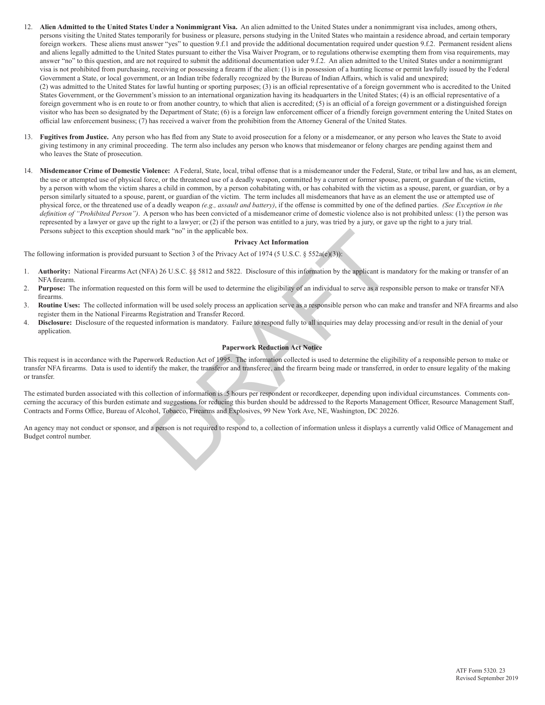- 12. **Alien Admitted to the United States Under a Nonimmigrant Visa.** An alien admitted to the United States under a nonimmigrant visa includes, among others, persons visiting the United States temporarily for business or pleasure, persons studying in the United States who maintain a residence abroad, and certain temporary foreign workers. These aliens must answer "yes" to question 9.f.1 and provide the additional documentation required under question 9.f.2. Permanent resident aliens and aliens legally admitted to the United States pursuant to either the Visa Waiver Program, or to regulations otherwise exempting them from visa requirements, may answer "no" to this question, and are not required to submit the additional documentation uder 9.f.2. An alien admitted to the United States under a nonimmigrant visa is not prohibited from purchasing, receiving or possessing a firearm if the alien: (1) is in possession of a hunting license or permit lawfully issued by the Federal Government a State, or local government, or an Indian tribe federally recognized by the Bureau of Indian Affairs, which is valid and unexpired; (2) was admitted to the United States for lawful hunting or sporting purposes; (3) is an official representative of a foreign government who is accredited to the United States Government, or the Government's mission to an international organization having its headquarters in the United States; (4) is an official representative of a foreign government who is en route to or from another country, to which that alien is accredited; (5) is an official of a foreign government or a distinguished foreign visitor who has been so designated by the Department of State; (6) is a foreign law enforcement officer of a friendly foreign government entering the United States on official law enforcement business; (7) has received a waiver from the prohibition from the Attorney General of the United States.
- 13. **Fugitives from Justice.** Any person who has fled from any State to avoid prosecution for a felony or a misdemeanor, or any person who leaves the State to avoid giving testimony in any criminal proceeding. The term also includes any person who knows that misdemeanor or felony charges are pending against them and who leaves the State of prosecution.
- 14. **Misdemeanor Crime of Domestic Violence:** A Federal, State, local, tribal offense that is a misdemeanor under the Federal, State, or tribal law and has, as an element, the use or attempted use of physical force, or the threatened use of a deadly weapon, committed by a current or former spouse, parent, or guardian of the victim, by a person with whom the victim shares a child in common, by a person cohabitating with, or has cohabited with the victim as a spouse, parent, or guardian, or by a person similarly situated to a spouse, parent, or guardian of the victim. The term includes all misdemeanors that have as an element the use or attempted use of physical force, or the threatened use of a deadly weapon *(e.g., assault and battery)*, if the offense is committed by one of the defined parties. *(See Exception in the*  definition of "Prohibited Person"). A person who has been convicted of a misdemeanor crime of domestic violence also is not prohibited unless: (1) the person was represented by a lawyer or gave up the right to a lawyer; or (2) if the person was entitled to a jury, was tried by a jury, or gave up the right to a jury trial. Persons subject to this exception should mark "no" in the applicable box.

#### **Privacy Act Information**

The following information is provided pursuant to Section 3 of the Privacy Act of 1974 (5 U.S.C. § 552a(e)(3)):

- 1. **Authority:** National Firearms Act (NFA) 26 U.S.C. §§ 5812 and 5822. Disclosure of this information by the applicant is mandatory for the making or transfer of an NFA firearm.<br>2 Purnose: Th
- Purpose: The information requested on this form will be used to determine the eligibility of an individual to serve as a responsible person to make or transfer NFA firearms.
- 3. **Routine Uses:** The collected information will be used solely process an application serve as a responsible person who can make and transfer and NFA firearms and also register them in the National Firearms Registration and Transfer Record.
- 4. **Disclosure:** Disclosure of the requested information is mandatory. Failure to respond fully to all inquiries may delay processing and/or result in the denial of your application.

### **Paperwork Reduction Act Notice**

This request is in accordance with the Paperwork Reduction Act of 1995. The information collected is used to determine the eligibility of a responsible person to make or transfer NFA firearms. Data is used to identify the maker, the transferor and transferee, and the firearm being made or transferred, in order to ensure legality of the making or transfer. mark "no" in the applicable box.<br> **Privacy Act Information**<br>
ant to Section 3 of the Privacy Act of 1974 (5 U.S.C. § 552a(e)(3)):<br>
A) 26 U.S.C. §§ 5812 and 5822. Disclosure of this information by the applicant is mathis fo

The estimated burden associated with this collection of information is .5 hours per respondent or recordkeeper, depending upon individual circumstances. Comments concerning the accuracy of this burden estimate and suggestions for reducing this burden should be addressed to the Reports Management Officer, Resource Management Staff, Contracts and Forms Office, Bureau of Alcohol, Tobacco, Firearms and Explosives, 99 New York Ave, NE, Washington, DC 20226.

An agency may not conduct or sponsor, and a person is not required to respond to, a collection of information unless it displays a currently valid Office of Management and Budget control number.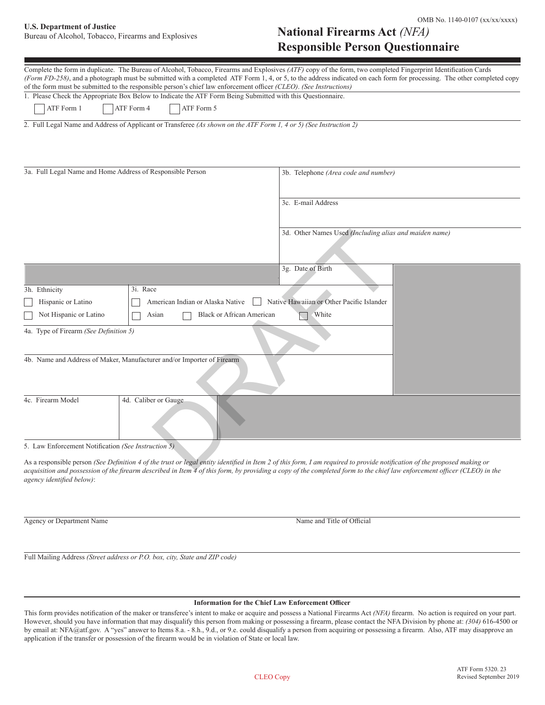# U.S. Department of Justice **Department of Justice Example 2008** No. 1140-0107 (xx/xx/xxxx)

Bureau of Alcohol, Tobacco, Firearms and Explosives

| <b>National Firearms ACU</b> ( <i>INFA)</i> |  |
|---------------------------------------------|--|
| <b>Responsible Person Questionnaire</b>     |  |

| Complete the form in duplicate. The Bureau of Alcohol, Tobacco, Firearms and Explosives (ATF) copy of the form, two completed Fingerprint Identification Cards<br>(Form FD-258), and a photograph must be submitted with a completed ATF Form 1, 4, or 5, to the address indicated on each form for processing. The other completed copy                                                                                                                                                 |                                                        |  |  |  |
|------------------------------------------------------------------------------------------------------------------------------------------------------------------------------------------------------------------------------------------------------------------------------------------------------------------------------------------------------------------------------------------------------------------------------------------------------------------------------------------|--------------------------------------------------------|--|--|--|
| of the form must be submitted to the responsible person's chief law enforcement officer (CLEO). (See Instructions)                                                                                                                                                                                                                                                                                                                                                                       |                                                        |  |  |  |
| 1. Please Check the Appropriate Box Below to Indicate the ATF Form Being Submitted with this Questionnaire.                                                                                                                                                                                                                                                                                                                                                                              |                                                        |  |  |  |
| ATF Form 1<br>ATF Form 4<br>ATF Form 5                                                                                                                                                                                                                                                                                                                                                                                                                                                   |                                                        |  |  |  |
| 2. Full Legal Name and Address of Applicant or Transferee (As shown on the ATF Form 1, 4 or 5) (See Instruction 2)                                                                                                                                                                                                                                                                                                                                                                       |                                                        |  |  |  |
| 3a. Full Legal Name and Home Address of Responsible Person                                                                                                                                                                                                                                                                                                                                                                                                                               | 3b. Telephone (Area code and number)                   |  |  |  |
|                                                                                                                                                                                                                                                                                                                                                                                                                                                                                          | 3c. E-mail Address                                     |  |  |  |
|                                                                                                                                                                                                                                                                                                                                                                                                                                                                                          | 3d. Other Names Used (Including alias and maiden name) |  |  |  |
|                                                                                                                                                                                                                                                                                                                                                                                                                                                                                          | 3g. Date of Birth                                      |  |  |  |
| 3h. Ethnicity<br>3i. Race                                                                                                                                                                                                                                                                                                                                                                                                                                                                |                                                        |  |  |  |
| Hispanic or Latino<br>American Indian or Alaska Native                                                                                                                                                                                                                                                                                                                                                                                                                                   | Native Hawaiian or Other Pacific Islander              |  |  |  |
| Not Hispanic or Latino<br><b>Black or African American</b><br>White<br>Asian                                                                                                                                                                                                                                                                                                                                                                                                             |                                                        |  |  |  |
| 4a. Type of Firearm (See Definition 5)                                                                                                                                                                                                                                                                                                                                                                                                                                                   |                                                        |  |  |  |
| 4b. Name and Address of Maker, Manufacturer and/or Importer of Firearm                                                                                                                                                                                                                                                                                                                                                                                                                   |                                                        |  |  |  |
| 4c. Firearm Model<br>4d. Caliber or Gauge                                                                                                                                                                                                                                                                                                                                                                                                                                                |                                                        |  |  |  |
| 5. Law Enforcement Notification (See Instruction 5)                                                                                                                                                                                                                                                                                                                                                                                                                                      |                                                        |  |  |  |
| As a responsible person (See Definition 4 of the trust or legal entity identified in Item 2 of this form, I am required to provide notification of the proposed making or<br>$\mathcal{L}(\mathcal{L}(\mathcal{L}))$ and $\mathcal{L}(\mathcal{L})$ and $\mathcal{L}(\mathcal{L})$ and $\mathcal{L}(\mathcal{L}(\mathcal{L}))$ are considered in a semi-file completed from the distribution of $\mathcal{L}(\mathcal{L})$ and $\mathcal{L}(\mathcal{L})$ and $\mathcal{L}(\mathcal{L})$ |                                                        |  |  |  |

As a responsible person *(See Definition 4 of the trust or legal entity identified in Item 2 of this form, I am required to provide notification of the proposed making or acquisition and possession of the firearm described in Item 4 of this form, by providing a copy of the completed form to the chief law enforcement officer (CLEO) in the agency identified below)*:

Agency or Department Name  $\blacksquare$ 

Full Mailing Address *(Street address or P.O. box, city, State and ZIP code)*

#### **Information for the Chief Law Enforcement Officer**

This form provides notification of the maker or transferee's intent to make or acquire and possess a National Firearms Act *(NFA)* firearm. No action is required on your part. However, should you have information that may disqualify this person from making or possessing a firearm, please contact the NFA Division by phone at: *(304)* 616-4500 or by email at: NFA@atf.gov. A "yes" answer to Items 8.a. - 8.h., 9.d., or 9.e. could disqualify a person from acquiring or possessing a firearm. Also, ATF may disapprove an application if the transfer or possession of the firearm would be in violation of State or local law.